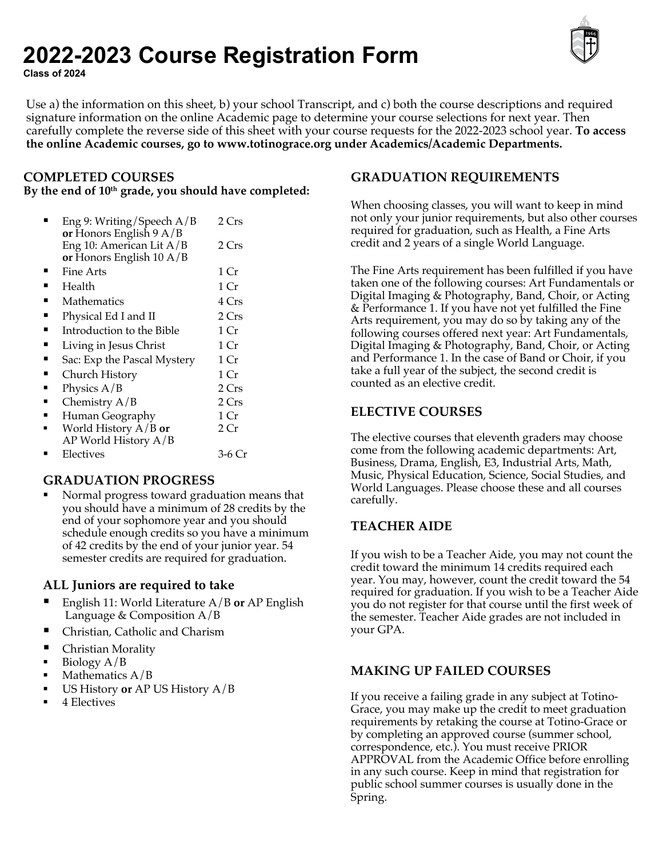# **2022-2023 Course Registration Form Class of 2024**

Use a) the information on this sheet, b) your school Transcript, and c) both the course descriptions and required signature information on the online Academic page to determine your course selections for next year. Then carefully complete the reverse side of this sheet with your course requests for the 2022-2023 school year. **To access the online Academic courses, go to www.totinograce.org under Academics/Academic Departments.** 

# **COMPLETED COURSES**

**By the end of 10th grade, you should have completed:**

| Eng 9: Writing/Speech $A/B$<br>or Honors English $9A/B$        | 2 Crs           |
|----------------------------------------------------------------|-----------------|
| Eng 10: American Lit A/B<br>or Honors English $10 \text{ A/B}$ | 2 Crs           |
| Fine Arts                                                      | 1 Cr            |
| Health                                                         | 1 Cr            |
| Mathematics                                                    | 4 Crs           |
| Physical Ed I and II                                           | 2 Crs           |
| Introduction to the Bible                                      | 1 Cr            |
| Living in Jesus Christ                                         | 1 Cr            |
| Sac: Exp the Pascal Mystery                                    | 1 Cr            |
| Church History                                                 | 1 Cr            |
| Physics $A/B$                                                  | 2 Crs           |
| Chemistry A/B                                                  | 2 Crs           |
| Human Geography                                                | 1 Cr            |
| World History $A/B$ or                                         | 2 <sub>cr</sub> |
| $AP$ World History $A/B$                                       |                 |
| Electives                                                      | 3-6 Cr          |

# **GRADUATION PROGRESS**

§ Normal progress toward graduation means that you should have a minimum of 28 credits by the end of your sophomore year and you should schedule enough credits so you have a minimum of 42 credits by the end of your junior year. 54 semester credits are required for graduation.

# **ALL Juniors are required to take**

- § English 11: World Literature A/B **or** AP English Language & Composition  $A/B$
- § Christian, Catholic and Charism
- Christian Morality
- § Biology A/B
- Mathematics  $A/B$
- § US History **or** AP US History A/B
- § 4 Electives

# **GRADUATION REQUIREMENTS**

When choosing classes, you will want to keep in mind not only your junior requirements, but also other courses required for graduation, such as Health, a Fine Arts credit and 2 years of a single World Language.

The Fine Arts requirement has been fulfilled if you have taken one of the following courses: Art Fundamentals or Digital Imaging & Photography, Band, Choir, or Acting & Performance 1. If you have not yet fulfilled the Fine Arts requirement, you may do so by taking any of the following courses offered next year: Art Fundamentals, Digital Imaging & Photography, Band, Choir, or Acting and Performance 1. In the case of Band or Choir, if you take a full year of the subject, the second credit is counted as an elective credit.

# **ELECTIVE COURSES**

The elective courses that eleventh graders may choose come from the following academic departments: Art, Business, Drama, English, E3, Industrial Arts, Math, Music, Physical Education, Science, Social Studies, and World Languages. Please choose these and all courses carefully.

# **TEACHER AIDE**

If you wish to be a Teacher Aide, you may not count the credit toward the minimum 14 credits required each year. You may, however, count the credit toward the 54 required for graduation. If you wish to be a Teacher Aide you do not register for that course until the first week of the semester. Teacher Aide grades are not included in your GPA.

# **MAKING UP FAILED COURSES**

If you receive a failing grade in any subject at Totino-Grace, you may make up the credit to meet graduation requirements by retaking the course at Totino-Grace or by completing an approved course (summer school, correspondence, etc.). You must receive PRIOR APPROVAL from the Academic Office before enrolling in any such course. Keep in mind that registration for public school summer courses is usually done in the Spring.